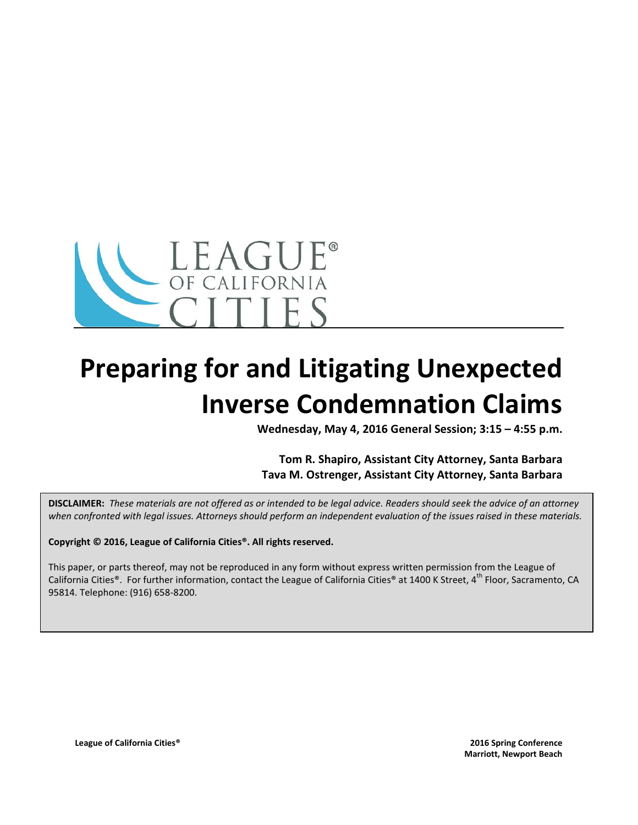

# **Preparing for and Litigating Unexpected Inverse Condemnation Claims**

**Wednesday, May 4, 2016 General Session; 3:15 – 4:55 p.m.**

**Tom R. Shapiro, Assistant City Attorney, Santa Barbara Tava M. Ostrenger, Assistant City Attorney, Santa Barbara**

**DISCLAIMER:** *These materials are not offered as or intended to be legal advice. Readers should seek the advice of an attorney when confronted with legal issues. Attorneys should perform an independent evaluation of the issues raised in these materials.*

**Copyright © 2016, League of California Cities®. All rights reserved.**

This paper, or parts thereof, may not be reproduced in any form without express written permission from the League of California Cities®. For further information, contact the League of California Cities® at 1400 K Street, 4<sup>th</sup> Floor, Sacramento, CA 95814. Telephone: (916) 658-8200.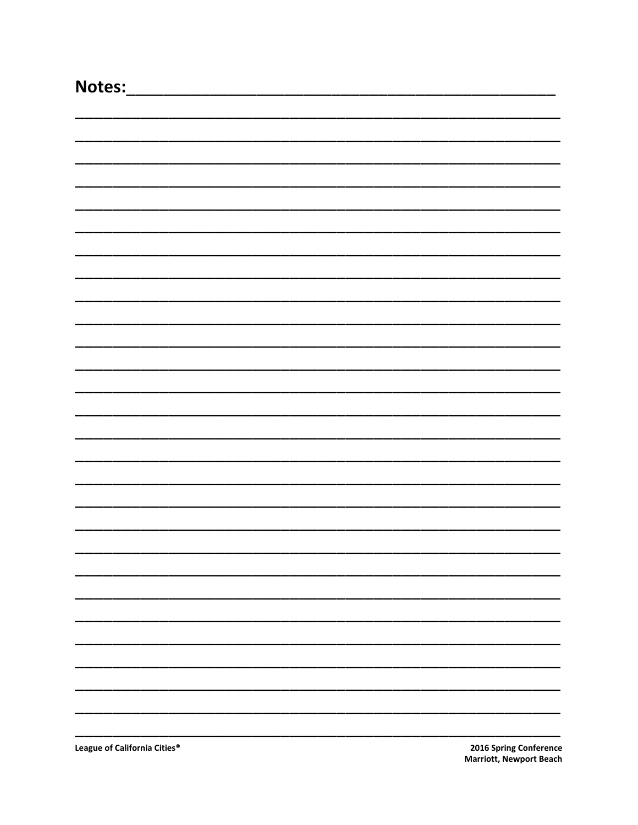| Notes:                       |                        |
|------------------------------|------------------------|
|                              |                        |
|                              |                        |
|                              |                        |
|                              |                        |
|                              |                        |
|                              |                        |
|                              |                        |
|                              |                        |
|                              |                        |
|                              |                        |
|                              |                        |
|                              |                        |
|                              |                        |
|                              |                        |
|                              |                        |
|                              |                        |
|                              |                        |
|                              |                        |
|                              |                        |
|                              |                        |
|                              |                        |
|                              |                        |
|                              |                        |
|                              |                        |
|                              |                        |
|                              |                        |
|                              |                        |
|                              |                        |
|                              |                        |
| League of California Cities® | 2016 Spring Conference |

2016 Spring Conference **Marriott, Newport Beach**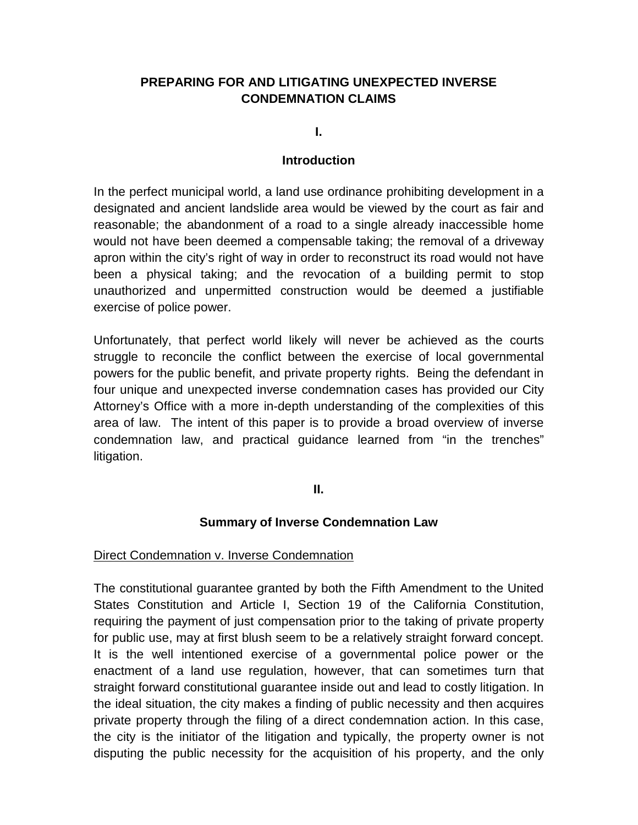# **PREPARING FOR AND LITIGATING UNEXPECTED INVERSE CONDEMNATION CLAIMS**

**I.**

#### **Introduction**

In the perfect municipal world, a land use ordinance prohibiting development in a designated and ancient landslide area would be viewed by the court as fair and reasonable; the abandonment of a road to a single already inaccessible home would not have been deemed a compensable taking; the removal of a driveway apron within the city's right of way in order to reconstruct its road would not have been a physical taking; and the revocation of a building permit to stop unauthorized and unpermitted construction would be deemed a justifiable exercise of police power.

Unfortunately, that perfect world likely will never be achieved as the courts struggle to reconcile the conflict between the exercise of local governmental powers for the public benefit, and private property rights. Being the defendant in four unique and unexpected inverse condemnation cases has provided our City Attorney's Office with a more in-depth understanding of the complexities of this area of law. The intent of this paper is to provide a broad overview of inverse condemnation law, and practical guidance learned from "in the trenches" litigation.

**II.**

## **Summary of Inverse Condemnation Law**

#### Direct Condemnation v. Inverse Condemnation

The constitutional guarantee granted by both the Fifth Amendment to the United States Constitution and Article I, Section 19 of the California Constitution, requiring the payment of just compensation prior to the taking of private property for public use, may at first blush seem to be a relatively straight forward concept. It is the well intentioned exercise of a governmental police power or the enactment of a land use regulation, however, that can sometimes turn that straight forward constitutional guarantee inside out and lead to costly litigation. In the ideal situation, the city makes a finding of public necessity and then acquires private property through the filing of a direct condemnation action. In this case, the city is the initiator of the litigation and typically, the property owner is not disputing the public necessity for the acquisition of his property, and the only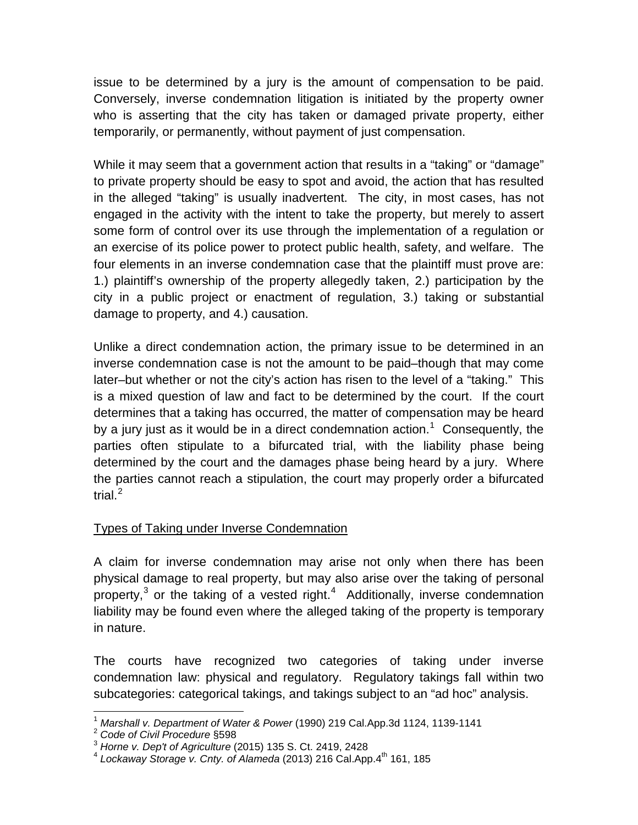issue to be determined by a jury is the amount of compensation to be paid. Conversely, inverse condemnation litigation is initiated by the property owner who is asserting that the city has taken or damaged private property, either temporarily, or permanently, without payment of just compensation.

While it may seem that a government action that results in a "taking" or "damage" to private property should be easy to spot and avoid, the action that has resulted in the alleged "taking" is usually inadvertent. The city, in most cases, has not engaged in the activity with the intent to take the property, but merely to assert some form of control over its use through the implementation of a regulation or an exercise of its police power to protect public health, safety, and welfare. The four elements in an inverse condemnation case that the plaintiff must prove are: 1.) plaintiff's ownership of the property allegedly taken, 2.) participation by the city in a public project or enactment of regulation, 3.) taking or substantial damage to property, and 4.) causation.

Unlike a direct condemnation action, the primary issue to be determined in an inverse condemnation case is not the amount to be paid–though that may come later–but whether or not the city's action has risen to the level of a "taking." This is a mixed question of law and fact to be determined by the court. If the court determines that a taking has occurred, the matter of compensation may be heard by a jury just as it would be in a direct condemnation action.<sup>[1](#page-3-0)</sup> Consequently, the parties often stipulate to a bifurcated trial, with the liability phase being determined by the court and the damages phase being heard by a jury. Where the parties cannot reach a stipulation, the court may properly order a bifurcated trial. $^2$  $^2$ 

# Types of Taking under Inverse Condemnation

A claim for inverse condemnation may arise not only when there has been physical damage to real property, but may also arise over the taking of personal property,<sup>[3](#page-3-2)</sup> or the taking of a vested right.<sup>[4](#page-3-3)</sup> Additionally, inverse condemnation liability may be found even where the alleged taking of the property is temporary in nature.

The courts have recognized two categories of taking under inverse condemnation law: physical and regulatory. Regulatory takings fall within two subcategories: categorical takings, and takings subject to an "ad hoc" analysis.

<span id="page-3-0"></span><sup>&</sup>lt;sup>1</sup> Marshall v. Department of Water & Power (1990) 219 Cal.App.3d 1124, 1139-1141<br><sup>2</sup> Code of Civil Procedure §598

<span id="page-3-2"></span><span id="page-3-1"></span><sup>&</sup>lt;sup>3</sup> Horne v. Dep't of Agriculture (2015) 135 S. Ct. 2419, 2428

<span id="page-3-3"></span><sup>&</sup>lt;sup>4</sup> Lockaway Storage v. Cnty. of Alameda (2013) 216 Cal. App. 4<sup>th</sup> 161, 185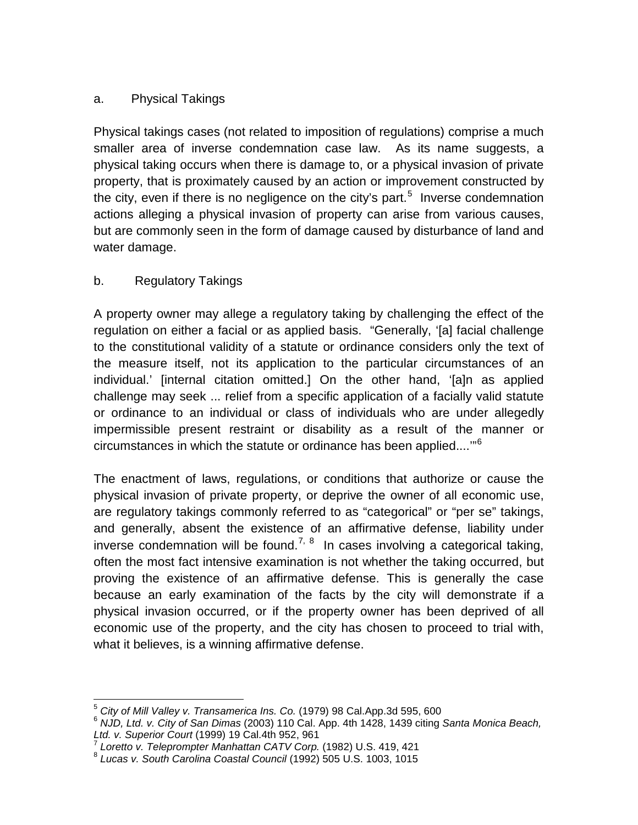# a. Physical Takings

Physical takings cases (not related to imposition of regulations) comprise a much smaller area of inverse condemnation case law. As its name suggests, a physical taking occurs when there is damage to, or a physical invasion of private property, that is proximately caused by an action or improvement constructed by the city, even if there is no negligence on the city's part.<sup>[5](#page-4-0)</sup> Inverse condemnation actions alleging a physical invasion of property can arise from various causes, but are commonly seen in the form of damage caused by disturbance of land and water damage.

# b. Regulatory Takings

A property owner may allege a regulatory taking by challenging the effect of the regulation on either a facial or as applied basis. "Generally, '[a] facial challenge to the constitutional validity of a statute or ordinance considers only the text of the measure itself, not its application to the particular circumstances of an individual.' [internal citation omitted.] On the other hand, '[a]n as applied challenge may seek ... relief from a specific application of a facially valid statute or ordinance to an individual or class of individuals who are under allegedly impermissible present restraint or disability as a result of the manner or circumstances in which the statute or ordinance has been applied....'"[6](#page-4-1)

The enactment of laws, regulations, or conditions that authorize or cause the physical invasion of private property, or deprive the owner of all economic use, are regulatory takings commonly referred to as "categorical" or "per se" takings, and generally, absent the existence of an affirmative defense, liability under inverse condemnation will be found.<sup>[7,](#page-4-2) [8](#page-4-3)</sup> In cases involving a categorical taking, often the most fact intensive examination is not whether the taking occurred, but proving the existence of an affirmative defense. This is generally the case because an early examination of the facts by the city will demonstrate if a physical invasion occurred, or if the property owner has been deprived of all economic use of the property, and the city has chosen to proceed to trial with, what it believes, is a winning affirmative defense.

<span id="page-4-1"></span><span id="page-4-0"></span><sup>&</sup>lt;sup>5</sup> City of Mill Valley v. Transamerica Ins. Co. (1979) 98 Cal.App.3d 595, 600<br><sup>6</sup> NJD, Ltd. v. City of San Dimas (2003) 110 Cal. App. 4th 1428, 1439 citing *Santa Monica Beach, <br>Ltd. v. Superior Court (1999) 19 Cal.4th 95* 

<span id="page-4-3"></span><span id="page-4-2"></span><sup>&</sup>lt;sup>7</sup> Loretto v. Teleprompter Manhattan CATV Corp. (1982) U.S. 419, 421<br><sup>8</sup> Lucas v. South Carolina Coastal Council (1992) 505 U.S. 1003, 1015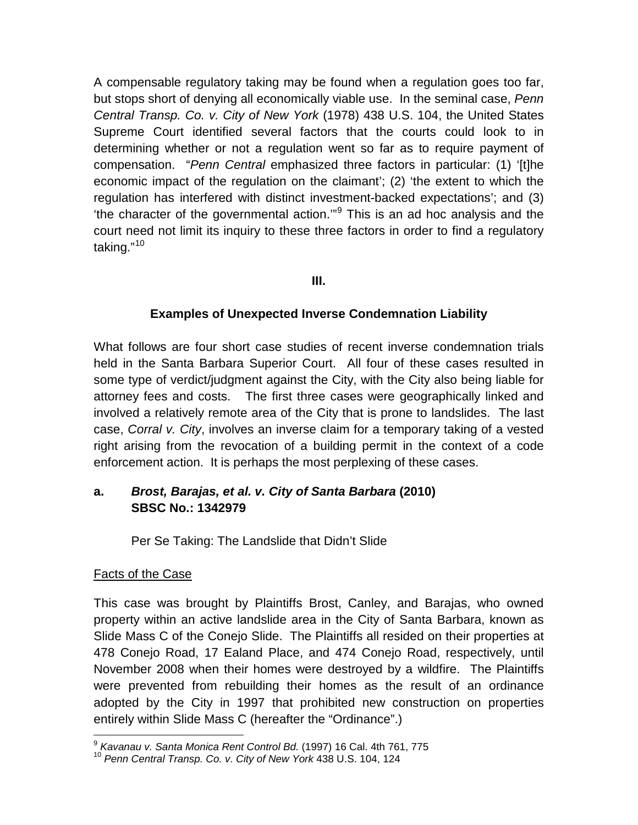A compensable regulatory taking may be found when a regulation goes too far, but stops short of denying all economically viable use. In the seminal case, *Penn Central Transp. Co. v. City of New York* (1978) 438 U.S. 104, the United States Supreme Court identified several factors that the courts could look to in determining whether or not a regulation went so far as to require payment of compensation. "*Penn Central* emphasized three factors in particular: (1) '[t]he economic impact of the regulation on the claimant'; (2) 'the extent to which the regulation has interfered with distinct investment-backed expectations'; and (3) 'the character of the governmental action.'"[9](#page-5-0) This is an ad hoc analysis and the court need not limit its inquiry to these three factors in order to find a regulatory taking."<sup>[10](#page-5-1)</sup>

## **III.**

## **Examples of Unexpected Inverse Condemnation Liability**

What follows are four short case studies of recent inverse condemnation trials held in the Santa Barbara Superior Court. All four of these cases resulted in some type of verdict/judgment against the City, with the City also being liable for attorney fees and costs. The first three cases were geographically linked and involved a relatively remote area of the City that is prone to landslides. The last case, *Corral v. City*, involves an inverse claim for a temporary taking of a vested right arising from the revocation of a building permit in the context of a code enforcement action. It is perhaps the most perplexing of these cases.

# **a.** *Brost, Barajas, et al. v. City of Santa Barbara* **(2010) SBSC No.: 1342979**

Per Se Taking: The Landslide that Didn't Slide

## Facts of the Case

This case was brought by Plaintiffs Brost, Canley, and Barajas, who owned property within an active landslide area in the City of Santa Barbara, known as Slide Mass C of the Conejo Slide. The Plaintiffs all resided on their properties at 478 Conejo Road, 17 Ealand Place, and 474 Conejo Road, respectively, until November 2008 when their homes were destroyed by a wildfire. The Plaintiffs were prevented from rebuilding their homes as the result of an ordinance adopted by the City in 1997 that prohibited new construction on properties entirely within Slide Mass C (hereafter the "Ordinance".)

<span id="page-5-1"></span><span id="page-5-0"></span><sup>&</sup>lt;sup>9</sup> *Kavanau v. Santa Monica Rent Control Bd.* (1997) 16 Cal. 4th 761, 775<br><sup>10</sup> Penn Central Transp. Co. v. City of New York 438 U.S. 104, 124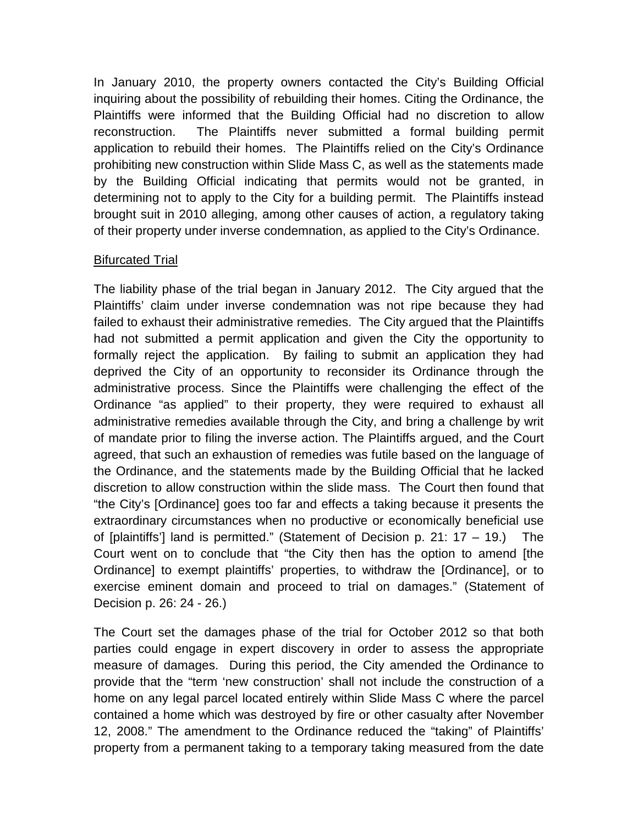In January 2010, the property owners contacted the City's Building Official inquiring about the possibility of rebuilding their homes. Citing the Ordinance, the Plaintiffs were informed that the Building Official had no discretion to allow reconstruction. The Plaintiffs never submitted a formal building permit application to rebuild their homes. The Plaintiffs relied on the City's Ordinance prohibiting new construction within Slide Mass C, as well as the statements made by the Building Official indicating that permits would not be granted, in determining not to apply to the City for a building permit. The Plaintiffs instead brought suit in 2010 alleging, among other causes of action, a regulatory taking of their property under inverse condemnation, as applied to the City's Ordinance.

## Bifurcated Trial

The liability phase of the trial began in January 2012. The City argued that the Plaintiffs' claim under inverse condemnation was not ripe because they had failed to exhaust their administrative remedies. The City argued that the Plaintiffs had not submitted a permit application and given the City the opportunity to formally reject the application. By failing to submit an application they had deprived the City of an opportunity to reconsider its Ordinance through the administrative process. Since the Plaintiffs were challenging the effect of the Ordinance "as applied" to their property, they were required to exhaust all administrative remedies available through the City, and bring a challenge by writ of mandate prior to filing the inverse action. The Plaintiffs argued, and the Court agreed, that such an exhaustion of remedies was futile based on the language of the Ordinance, and the statements made by the Building Official that he lacked discretion to allow construction within the slide mass. The Court then found that "the City's [Ordinance] goes too far and effects a taking because it presents the extraordinary circumstances when no productive or economically beneficial use of [plaintiffs'] land is permitted." (Statement of Decision p. 21: 17 – 19.) The Court went on to conclude that "the City then has the option to amend [the Ordinance] to exempt plaintiffs' properties, to withdraw the [Ordinance], or to exercise eminent domain and proceed to trial on damages." (Statement of Decision p. 26: 24 - 26.)

The Court set the damages phase of the trial for October 2012 so that both parties could engage in expert discovery in order to assess the appropriate measure of damages. During this period, the City amended the Ordinance to provide that the "term 'new construction' shall not include the construction of a home on any legal parcel located entirely within Slide Mass C where the parcel contained a home which was destroyed by fire or other casualty after November 12, 2008." The amendment to the Ordinance reduced the "taking" of Plaintiffs' property from a permanent taking to a temporary taking measured from the date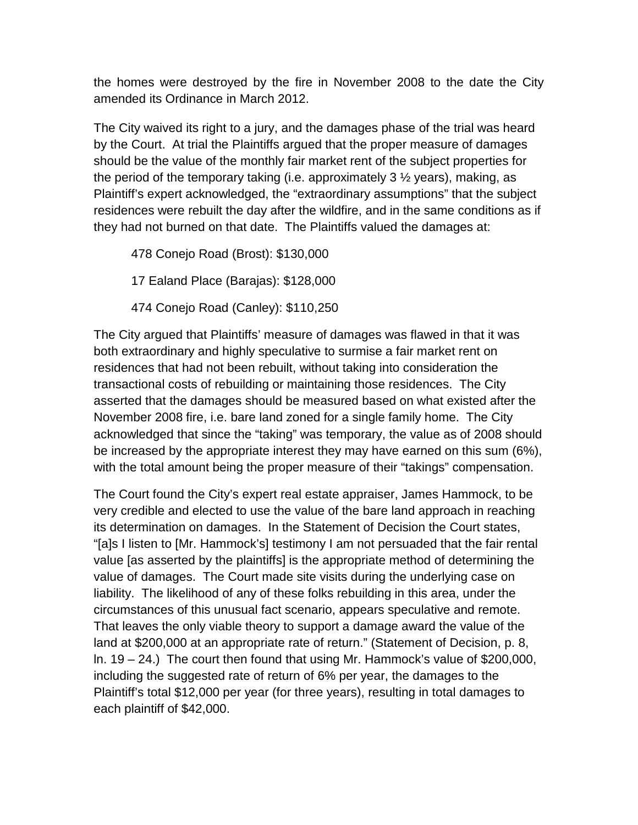the homes were destroyed by the fire in November 2008 to the date the City amended its Ordinance in March 2012.

The City waived its right to a jury, and the damages phase of the trial was heard by the Court. At trial the Plaintiffs argued that the proper measure of damages should be the value of the monthly fair market rent of the subject properties for the period of the temporary taking (i.e. approximately 3 ½ years), making, as Plaintiff's expert acknowledged, the "extraordinary assumptions" that the subject residences were rebuilt the day after the wildfire, and in the same conditions as if they had not burned on that date. The Plaintiffs valued the damages at:

478 Conejo Road (Brost): \$130,000

17 Ealand Place (Barajas): \$128,000

474 Conejo Road (Canley): \$110,250

The City argued that Plaintiffs' measure of damages was flawed in that it was both extraordinary and highly speculative to surmise a fair market rent on residences that had not been rebuilt, without taking into consideration the transactional costs of rebuilding or maintaining those residences. The City asserted that the damages should be measured based on what existed after the November 2008 fire, i.e. bare land zoned for a single family home. The City acknowledged that since the "taking" was temporary, the value as of 2008 should be increased by the appropriate interest they may have earned on this sum (6%), with the total amount being the proper measure of their "takings" compensation.

The Court found the City's expert real estate appraiser, James Hammock, to be very credible and elected to use the value of the bare land approach in reaching its determination on damages. In the Statement of Decision the Court states, "[a]s I listen to [Mr. Hammock's] testimony I am not persuaded that the fair rental value [as asserted by the plaintiffs] is the appropriate method of determining the value of damages. The Court made site visits during the underlying case on liability. The likelihood of any of these folks rebuilding in this area, under the circumstances of this unusual fact scenario, appears speculative and remote. That leaves the only viable theory to support a damage award the value of the land at \$200,000 at an appropriate rate of return." (Statement of Decision, p. 8, ln. 19 – 24.) The court then found that using Mr. Hammock's value of \$200,000, including the suggested rate of return of 6% per year, the damages to the Plaintiff's total \$12,000 per year (for three years), resulting in total damages to each plaintiff of \$42,000.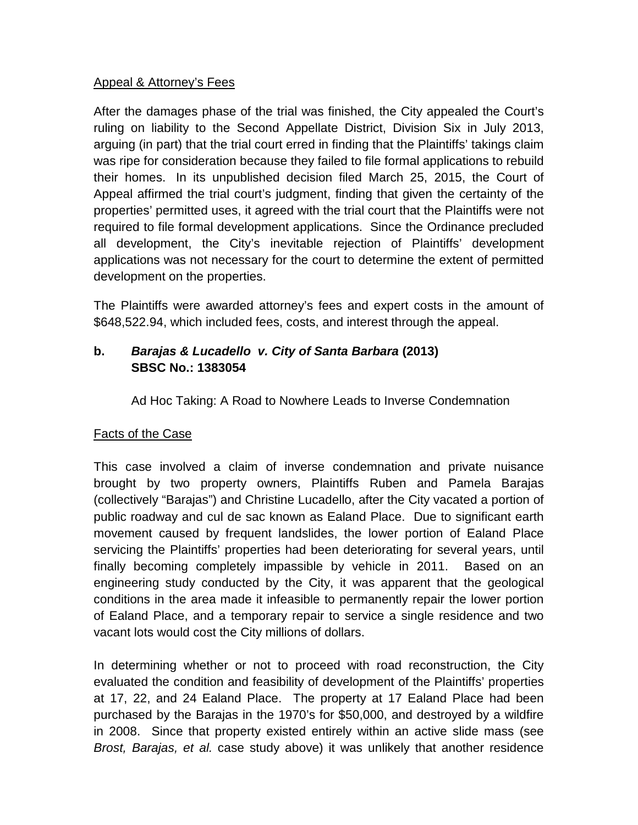## Appeal & Attorney's Fees

After the damages phase of the trial was finished, the City appealed the Court's ruling on liability to the Second Appellate District, Division Six in July 2013, arguing (in part) that the trial court erred in finding that the Plaintiffs' takings claim was ripe for consideration because they failed to file formal applications to rebuild their homes. In its unpublished decision filed March 25, 2015, the Court of Appeal affirmed the trial court's judgment, finding that given the certainty of the properties' permitted uses, it agreed with the trial court that the Plaintiffs were not required to file formal development applications. Since the Ordinance precluded all development, the City's inevitable rejection of Plaintiffs' development applications was not necessary for the court to determine the extent of permitted development on the properties.

The Plaintiffs were awarded attorney's fees and expert costs in the amount of \$648,522.94, which included fees, costs, and interest through the appeal.

# **b.** *Barajas & Lucadello v. City of Santa Barbara* **(2013) SBSC No.: 1383054**

Ad Hoc Taking: A Road to Nowhere Leads to Inverse Condemnation

# Facts of the Case

This case involved a claim of inverse condemnation and private nuisance brought by two property owners, Plaintiffs Ruben and Pamela Barajas (collectively "Barajas") and Christine Lucadello, after the City vacated a portion of public roadway and cul de sac known as Ealand Place. Due to significant earth movement caused by frequent landslides, the lower portion of Ealand Place servicing the Plaintiffs' properties had been deteriorating for several years, until finally becoming completely impassible by vehicle in 2011. Based on an engineering study conducted by the City, it was apparent that the geological conditions in the area made it infeasible to permanently repair the lower portion of Ealand Place, and a temporary repair to service a single residence and two vacant lots would cost the City millions of dollars.

In determining whether or not to proceed with road reconstruction, the City evaluated the condition and feasibility of development of the Plaintiffs' properties at 17, 22, and 24 Ealand Place. The property at 17 Ealand Place had been purchased by the Barajas in the 1970's for \$50,000, and destroyed by a wildfire in 2008. Since that property existed entirely within an active slide mass (see *Brost, Barajas, et al.* case study above) it was unlikely that another residence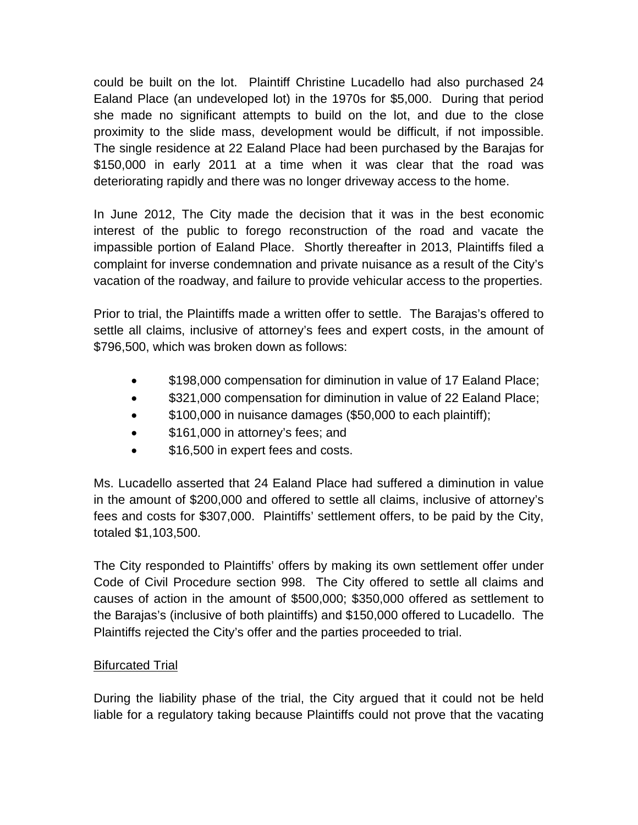could be built on the lot. Plaintiff Christine Lucadello had also purchased 24 Ealand Place (an undeveloped lot) in the 1970s for \$5,000. During that period she made no significant attempts to build on the lot, and due to the close proximity to the slide mass, development would be difficult, if not impossible. The single residence at 22 Ealand Place had been purchased by the Barajas for \$150,000 in early 2011 at a time when it was clear that the road was deteriorating rapidly and there was no longer driveway access to the home.

In June 2012, The City made the decision that it was in the best economic interest of the public to forego reconstruction of the road and vacate the impassible portion of Ealand Place. Shortly thereafter in 2013, Plaintiffs filed a complaint for inverse condemnation and private nuisance as a result of the City's vacation of the roadway, and failure to provide vehicular access to the properties.

Prior to trial, the Plaintiffs made a written offer to settle. The Barajas's offered to settle all claims, inclusive of attorney's fees and expert costs, in the amount of \$796,500, which was broken down as follows:

- \$198,000 compensation for diminution in value of 17 Ealand Place;
- \$321,000 compensation for diminution in value of 22 Ealand Place;
- \$100,000 in nuisance damages (\$50,000 to each plaintiff);
- \$161,000 in attorney's fees; and
- \$16,500 in expert fees and costs.

Ms. Lucadello asserted that 24 Ealand Place had suffered a diminution in value in the amount of \$200,000 and offered to settle all claims, inclusive of attorney's fees and costs for \$307,000. Plaintiffs' settlement offers, to be paid by the City, totaled \$1,103,500.

The City responded to Plaintiffs' offers by making its own settlement offer under Code of Civil Procedure section 998. The City offered to settle all claims and causes of action in the amount of \$500,000; \$350,000 offered as settlement to the Barajas's (inclusive of both plaintiffs) and \$150,000 offered to Lucadello. The Plaintiffs rejected the City's offer and the parties proceeded to trial.

# Bifurcated Trial

During the liability phase of the trial, the City argued that it could not be held liable for a regulatory taking because Plaintiffs could not prove that the vacating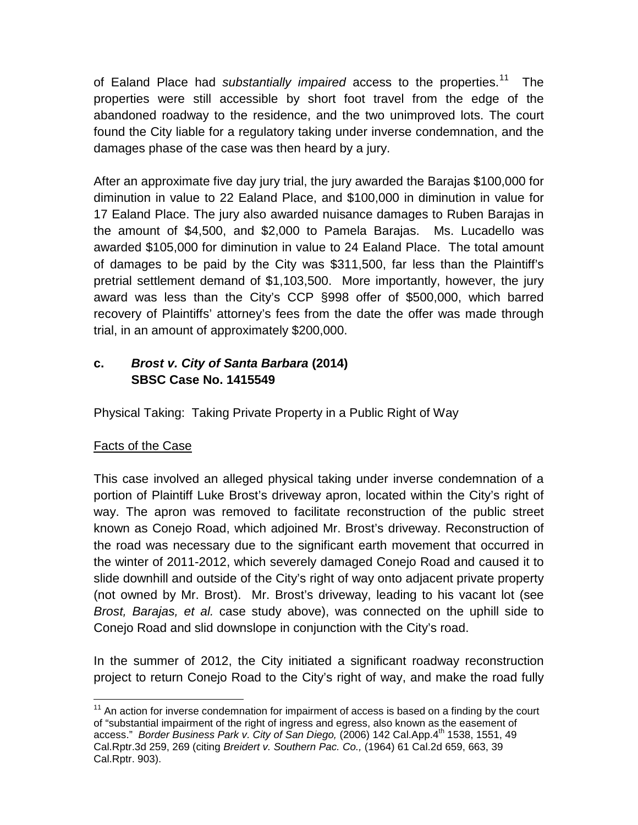of Ealand Place had *substantially impaired* access to the properties.<sup>[11](#page-10-0)</sup> The properties were still accessible by short foot travel from the edge of the abandoned roadway to the residence, and the two unimproved lots. The court found the City liable for a regulatory taking under inverse condemnation, and the damages phase of the case was then heard by a jury.

After an approximate five day jury trial, the jury awarded the Barajas \$100,000 for diminution in value to 22 Ealand Place, and \$100,000 in diminution in value for 17 Ealand Place. The jury also awarded nuisance damages to Ruben Barajas in the amount of \$4,500, and \$2,000 to Pamela Barajas. Ms. Lucadello was awarded \$105,000 for diminution in value to 24 Ealand Place. The total amount of damages to be paid by the City was \$311,500, far less than the Plaintiff's pretrial settlement demand of \$1,103,500. More importantly, however, the jury award was less than the City's CCP §998 offer of \$500,000, which barred recovery of Plaintiffs' attorney's fees from the date the offer was made through trial, in an amount of approximately \$200,000.

# **c.** *Brost v. City of Santa Barbara* **(2014) SBSC Case No. 1415549**

Physical Taking: Taking Private Property in a Public Right of Way

# Facts of the Case

This case involved an alleged physical taking under inverse condemnation of a portion of Plaintiff Luke Brost's driveway apron, located within the City's right of way. The apron was removed to facilitate reconstruction of the public street known as Conejo Road, which adjoined Mr. Brost's driveway. Reconstruction of the road was necessary due to the significant earth movement that occurred in the winter of 2011-2012, which severely damaged Conejo Road and caused it to slide downhill and outside of the City's right of way onto adjacent private property (not owned by Mr. Brost). Mr. Brost's driveway, leading to his vacant lot (see *Brost, Barajas, et al.* case study above), was connected on the uphill side to Conejo Road and slid downslope in conjunction with the City's road.

In the summer of 2012, the City initiated a significant roadway reconstruction project to return Conejo Road to the City's right of way, and make the road fully

<span id="page-10-0"></span> $11$  An action for inverse condemnation for impairment of access is based on a finding by the court of "substantial impairment of the right of ingress and egress, also known as the easement of access." *Border Business Park v. City of San Diego,* (2006) 142 Cal.App.4th 1538, 1551, 49 Cal.Rptr.3d 259, 269 (citing *Breidert v. Southern Pac. Co.,* (1964) 61 Cal.2d 659, 663, 39 Cal.Rptr. 903).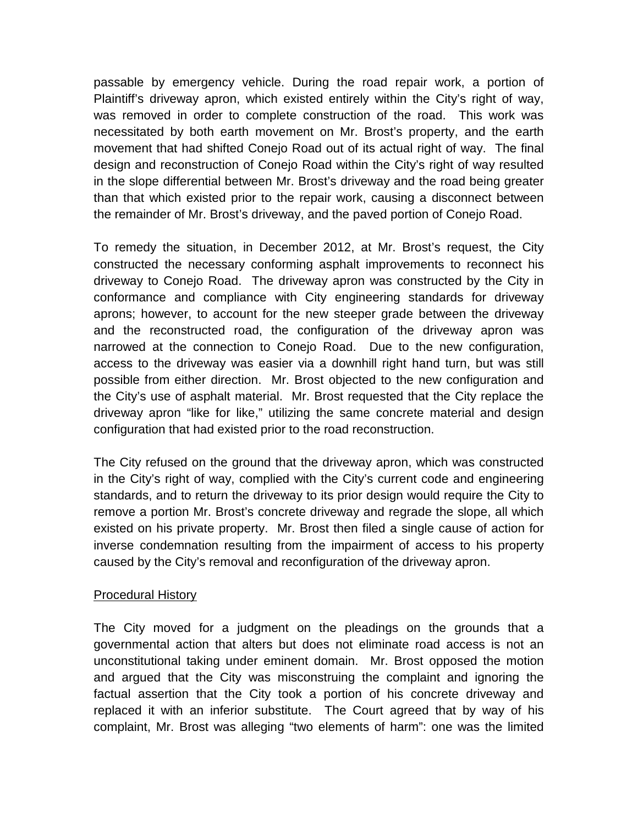passable by emergency vehicle. During the road repair work, a portion of Plaintiff's driveway apron, which existed entirely within the City's right of way, was removed in order to complete construction of the road. This work was necessitated by both earth movement on Mr. Brost's property, and the earth movement that had shifted Conejo Road out of its actual right of way. The final design and reconstruction of Conejo Road within the City's right of way resulted in the slope differential between Mr. Brost's driveway and the road being greater than that which existed prior to the repair work, causing a disconnect between the remainder of Mr. Brost's driveway, and the paved portion of Conejo Road.

To remedy the situation, in December 2012, at Mr. Brost's request, the City constructed the necessary conforming asphalt improvements to reconnect his driveway to Conejo Road. The driveway apron was constructed by the City in conformance and compliance with City engineering standards for driveway aprons; however, to account for the new steeper grade between the driveway and the reconstructed road, the configuration of the driveway apron was narrowed at the connection to Conejo Road. Due to the new configuration, access to the driveway was easier via a downhill right hand turn, but was still possible from either direction. Mr. Brost objected to the new configuration and the City's use of asphalt material. Mr. Brost requested that the City replace the driveway apron "like for like," utilizing the same concrete material and design configuration that had existed prior to the road reconstruction.

The City refused on the ground that the driveway apron, which was constructed in the City's right of way, complied with the City's current code and engineering standards, and to return the driveway to its prior design would require the City to remove a portion Mr. Brost's concrete driveway and regrade the slope, all which existed on his private property. Mr. Brost then filed a single cause of action for inverse condemnation resulting from the impairment of access to his property caused by the City's removal and reconfiguration of the driveway apron.

## Procedural History

The City moved for a judgment on the pleadings on the grounds that a governmental action that alters but does not eliminate road access is not an unconstitutional taking under eminent domain. Mr. Brost opposed the motion and argued that the City was misconstruing the complaint and ignoring the factual assertion that the City took a portion of his concrete driveway and replaced it with an inferior substitute. The Court agreed that by way of his complaint, Mr. Brost was alleging "two elements of harm": one was the limited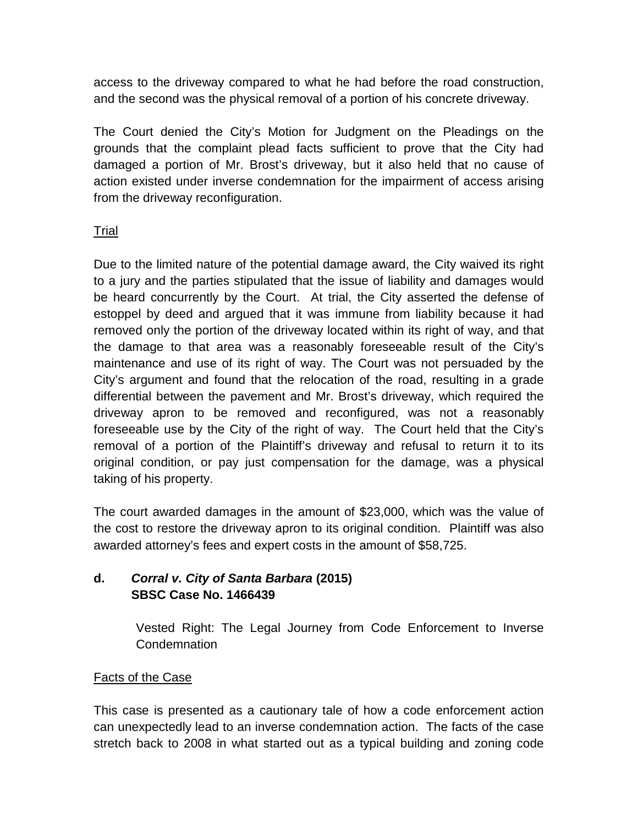access to the driveway compared to what he had before the road construction, and the second was the physical removal of a portion of his concrete driveway.

The Court denied the City's Motion for Judgment on the Pleadings on the grounds that the complaint plead facts sufficient to prove that the City had damaged a portion of Mr. Brost's driveway, but it also held that no cause of action existed under inverse condemnation for the impairment of access arising from the driveway reconfiguration.

# Trial

Due to the limited nature of the potential damage award, the City waived its right to a jury and the parties stipulated that the issue of liability and damages would be heard concurrently by the Court. At trial, the City asserted the defense of estoppel by deed and argued that it was immune from liability because it had removed only the portion of the driveway located within its right of way, and that the damage to that area was a reasonably foreseeable result of the City's maintenance and use of its right of way. The Court was not persuaded by the City's argument and found that the relocation of the road, resulting in a grade differential between the pavement and Mr. Brost's driveway, which required the driveway apron to be removed and reconfigured, was not a reasonably foreseeable use by the City of the right of way. The Court held that the City's removal of a portion of the Plaintiff's driveway and refusal to return it to its original condition, or pay just compensation for the damage, was a physical taking of his property.

The court awarded damages in the amount of \$23,000, which was the value of the cost to restore the driveway apron to its original condition. Plaintiff was also awarded attorney's fees and expert costs in the amount of \$58,725.

# **d.** *Corral v. City of Santa Barbara* **(2015) SBSC Case No. 1466439**

Vested Right: The Legal Journey from Code Enforcement to Inverse Condemnation

# **Facts of the Case**

This case is presented as a cautionary tale of how a code enforcement action can unexpectedly lead to an inverse condemnation action. The facts of the case stretch back to 2008 in what started out as a typical building and zoning code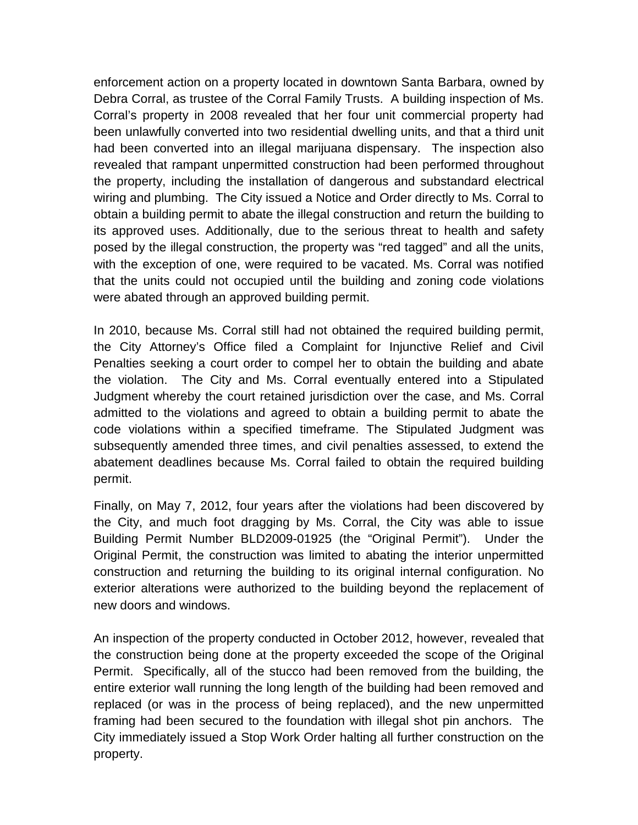enforcement action on a property located in downtown Santa Barbara, owned by Debra Corral, as trustee of the Corral Family Trusts. A building inspection of Ms. Corral's property in 2008 revealed that her four unit commercial property had been unlawfully converted into two residential dwelling units, and that a third unit had been converted into an illegal marijuana dispensary. The inspection also revealed that rampant unpermitted construction had been performed throughout the property, including the installation of dangerous and substandard electrical wiring and plumbing. The City issued a Notice and Order directly to Ms. Corral to obtain a building permit to abate the illegal construction and return the building to its approved uses. Additionally, due to the serious threat to health and safety posed by the illegal construction, the property was "red tagged" and all the units, with the exception of one, were required to be vacated. Ms. Corral was notified that the units could not occupied until the building and zoning code violations were abated through an approved building permit.

In 2010, because Ms. Corral still had not obtained the required building permit, the City Attorney's Office filed a Complaint for Injunctive Relief and Civil Penalties seeking a court order to compel her to obtain the building and abate the violation. The City and Ms. Corral eventually entered into a Stipulated Judgment whereby the court retained jurisdiction over the case, and Ms. Corral admitted to the violations and agreed to obtain a building permit to abate the code violations within a specified timeframe. The Stipulated Judgment was subsequently amended three times, and civil penalties assessed, to extend the abatement deadlines because Ms. Corral failed to obtain the required building permit.

Finally, on May 7, 2012, four years after the violations had been discovered by the City, and much foot dragging by Ms. Corral, the City was able to issue Building Permit Number BLD2009-01925 (the "Original Permit"). Under the Original Permit, the construction was limited to abating the interior unpermitted construction and returning the building to its original internal configuration. No exterior alterations were authorized to the building beyond the replacement of new doors and windows.

An inspection of the property conducted in October 2012, however, revealed that the construction being done at the property exceeded the scope of the Original Permit. Specifically, all of the stucco had been removed from the building, the entire exterior wall running the long length of the building had been removed and replaced (or was in the process of being replaced), and the new unpermitted framing had been secured to the foundation with illegal shot pin anchors. The City immediately issued a Stop Work Order halting all further construction on the property.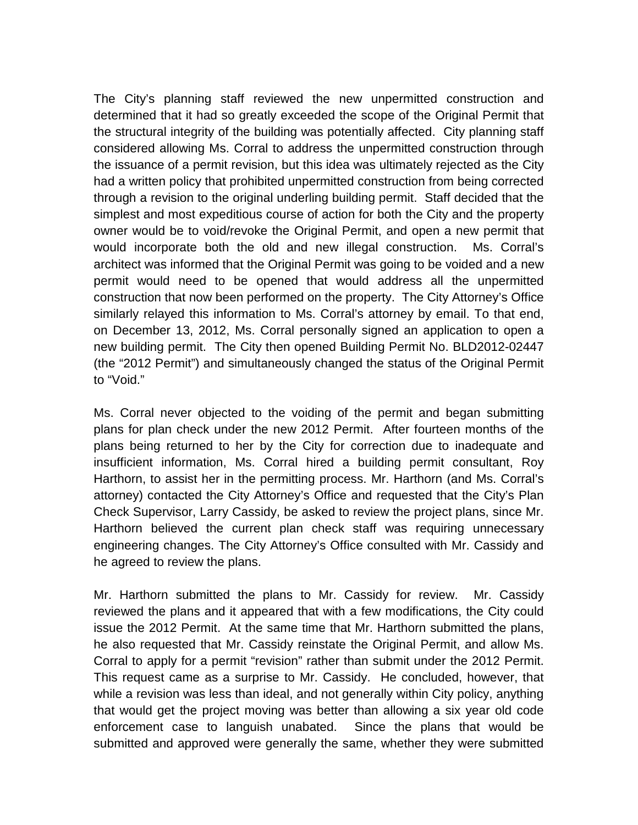The City's planning staff reviewed the new unpermitted construction and determined that it had so greatly exceeded the scope of the Original Permit that the structural integrity of the building was potentially affected. City planning staff considered allowing Ms. Corral to address the unpermitted construction through the issuance of a permit revision, but this idea was ultimately rejected as the City had a written policy that prohibited unpermitted construction from being corrected through a revision to the original underling building permit. Staff decided that the simplest and most expeditious course of action for both the City and the property owner would be to void/revoke the Original Permit, and open a new permit that would incorporate both the old and new illegal construction. Ms. Corral's architect was informed that the Original Permit was going to be voided and a new permit would need to be opened that would address all the unpermitted construction that now been performed on the property. The City Attorney's Office similarly relayed this information to Ms. Corral's attorney by email. To that end, on December 13, 2012, Ms. Corral personally signed an application to open a new building permit. The City then opened Building Permit No. BLD2012-02447 (the "2012 Permit") and simultaneously changed the status of the Original Permit to "Void."

Ms. Corral never objected to the voiding of the permit and began submitting plans for plan check under the new 2012 Permit. After fourteen months of the plans being returned to her by the City for correction due to inadequate and insufficient information, Ms. Corral hired a building permit consultant, Roy Harthorn, to assist her in the permitting process. Mr. Harthorn (and Ms. Corral's attorney) contacted the City Attorney's Office and requested that the City's Plan Check Supervisor, Larry Cassidy, be asked to review the project plans, since Mr. Harthorn believed the current plan check staff was requiring unnecessary engineering changes. The City Attorney's Office consulted with Mr. Cassidy and he agreed to review the plans.

Mr. Harthorn submitted the plans to Mr. Cassidy for review. Mr. Cassidy reviewed the plans and it appeared that with a few modifications, the City could issue the 2012 Permit. At the same time that Mr. Harthorn submitted the plans, he also requested that Mr. Cassidy reinstate the Original Permit, and allow Ms. Corral to apply for a permit "revision" rather than submit under the 2012 Permit. This request came as a surprise to Mr. Cassidy. He concluded, however, that while a revision was less than ideal, and not generally within City policy, anything that would get the project moving was better than allowing a six year old code enforcement case to languish unabated. Since the plans that would be submitted and approved were generally the same, whether they were submitted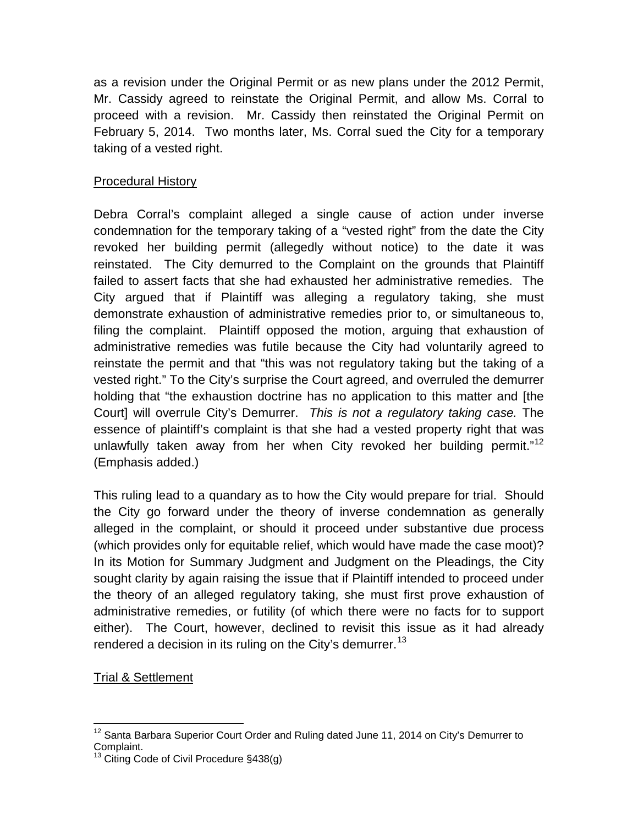as a revision under the Original Permit or as new plans under the 2012 Permit, Mr. Cassidy agreed to reinstate the Original Permit, and allow Ms. Corral to proceed with a revision. Mr. Cassidy then reinstated the Original Permit on February 5, 2014. Two months later, Ms. Corral sued the City for a temporary taking of a vested right.

# Procedural History

Debra Corral's complaint alleged a single cause of action under inverse condemnation for the temporary taking of a "vested right" from the date the City revoked her building permit (allegedly without notice) to the date it was reinstated. The City demurred to the Complaint on the grounds that Plaintiff failed to assert facts that she had exhausted her administrative remedies. The City argued that if Plaintiff was alleging a regulatory taking, she must demonstrate exhaustion of administrative remedies prior to, or simultaneous to, filing the complaint. Plaintiff opposed the motion, arguing that exhaustion of administrative remedies was futile because the City had voluntarily agreed to reinstate the permit and that "this was not regulatory taking but the taking of a vested right." To the City's surprise the Court agreed, and overruled the demurrer holding that "the exhaustion doctrine has no application to this matter and [the Court] will overrule City's Demurrer. *This is not a regulatory taking case.* The essence of plaintiff's complaint is that she had a vested property right that was unlawfully taken away from her when City revoked her building permit."<sup>[12](#page-15-0)</sup> (Emphasis added.)

This ruling lead to a quandary as to how the City would prepare for trial. Should the City go forward under the theory of inverse condemnation as generally alleged in the complaint, or should it proceed under substantive due process (which provides only for equitable relief, which would have made the case moot)? In its Motion for Summary Judgment and Judgment on the Pleadings, the City sought clarity by again raising the issue that if Plaintiff intended to proceed under the theory of an alleged regulatory taking, she must first prove exhaustion of administrative remedies, or futility (of which there were no facts for to support either). The Court, however, declined to revisit this issue as it had already rendered a decision in its ruling on the City's demurrer.<sup>[13](#page-15-1)</sup>

# Trial & Settlement

<span id="page-15-0"></span><sup>&</sup>lt;sup>12</sup> Santa Barbara Superior Court Order and Ruling dated June 11, 2014 on City's Demurrer to Complaint.

<span id="page-15-1"></span>Citing Code of Civil Procedure §438(g)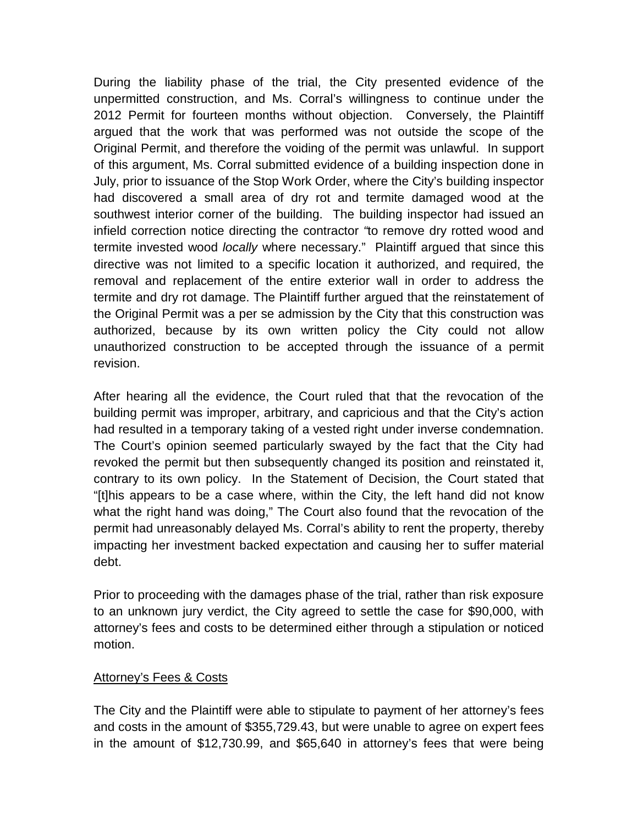During the liability phase of the trial, the City presented evidence of the unpermitted construction, and Ms. Corral's willingness to continue under the 2012 Permit for fourteen months without objection. Conversely, the Plaintiff argued that the work that was performed was not outside the scope of the Original Permit, and therefore the voiding of the permit was unlawful. In support of this argument, Ms. Corral submitted evidence of a building inspection done in July, prior to issuance of the Stop Work Order, where the City's building inspector had discovered a small area of dry rot and termite damaged wood at the southwest interior corner of the building. The building inspector had issued an infield correction notice directing the contractor *"*to remove dry rotted wood and termite invested wood *locally* where necessary." Plaintiff argued that since this directive was not limited to a specific location it authorized, and required, the removal and replacement of the entire exterior wall in order to address the termite and dry rot damage. The Plaintiff further argued that the reinstatement of the Original Permit was a per se admission by the City that this construction was authorized, because by its own written policy the City could not allow unauthorized construction to be accepted through the issuance of a permit revision.

After hearing all the evidence, the Court ruled that that the revocation of the building permit was improper, arbitrary, and capricious and that the City's action had resulted in a temporary taking of a vested right under inverse condemnation. The Court's opinion seemed particularly swayed by the fact that the City had revoked the permit but then subsequently changed its position and reinstated it, contrary to its own policy. In the Statement of Decision, the Court stated that "[t]his appears to be a case where, within the City, the left hand did not know what the right hand was doing," The Court also found that the revocation of the permit had unreasonably delayed Ms. Corral's ability to rent the property, thereby impacting her investment backed expectation and causing her to suffer material debt.

Prior to proceeding with the damages phase of the trial, rather than risk exposure to an unknown jury verdict, the City agreed to settle the case for \$90,000, with attorney's fees and costs to be determined either through a stipulation or noticed motion.

## **Attorney's Fees & Costs**

The City and the Plaintiff were able to stipulate to payment of her attorney's fees and costs in the amount of \$355,729.43, but were unable to agree on expert fees in the amount of \$12,730.99, and \$65,640 in attorney's fees that were being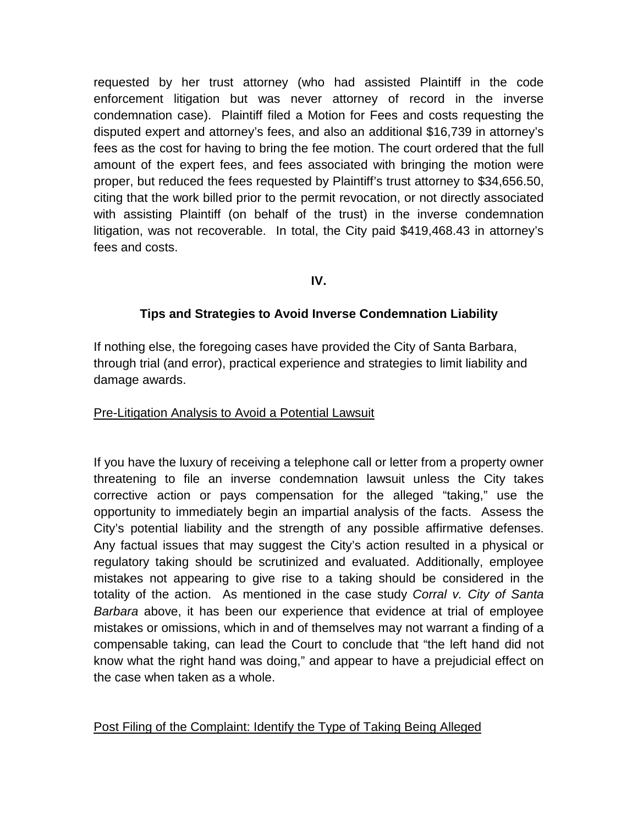requested by her trust attorney (who had assisted Plaintiff in the code enforcement litigation but was never attorney of record in the inverse condemnation case). Plaintiff filed a Motion for Fees and costs requesting the disputed expert and attorney's fees, and also an additional \$16,739 in attorney's fees as the cost for having to bring the fee motion. The court ordered that the full amount of the expert fees, and fees associated with bringing the motion were proper, but reduced the fees requested by Plaintiff's trust attorney to \$34,656.50, citing that the work billed prior to the permit revocation, or not directly associated with assisting Plaintiff (on behalf of the trust) in the inverse condemnation litigation, was not recoverable. In total, the City paid \$419,468.43 in attorney's fees and costs.

## **IV.**

## **Tips and Strategies to Avoid Inverse Condemnation Liability**

If nothing else, the foregoing cases have provided the City of Santa Barbara, through trial (and error), practical experience and strategies to limit liability and damage awards.

#### Pre-Litigation Analysis to Avoid a Potential Lawsuit

If you have the luxury of receiving a telephone call or letter from a property owner threatening to file an inverse condemnation lawsuit unless the City takes corrective action or pays compensation for the alleged "taking," use the opportunity to immediately begin an impartial analysis of the facts. Assess the City's potential liability and the strength of any possible affirmative defenses. Any factual issues that may suggest the City's action resulted in a physical or regulatory taking should be scrutinized and evaluated. Additionally, employee mistakes not appearing to give rise to a taking should be considered in the totality of the action. As mentioned in the case study *Corral v. City of Santa Barbara* above, it has been our experience that evidence at trial of employee mistakes or omissions, which in and of themselves may not warrant a finding of a compensable taking, can lead the Court to conclude that "the left hand did not know what the right hand was doing," and appear to have a prejudicial effect on the case when taken as a whole.

## Post Filing of the Complaint: Identify the Type of Taking Being Alleged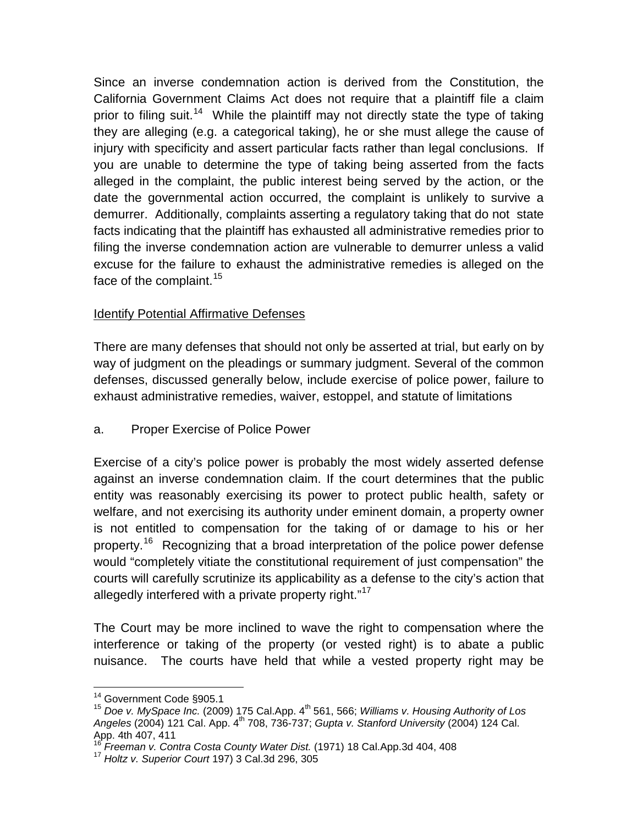Since an inverse condemnation action is derived from the Constitution, the California Government Claims Act does not require that a plaintiff file a claim prior to filing suit.<sup>[14](#page-18-0)</sup> While the plaintiff may not directly state the type of taking they are alleging (e.g. a categorical taking), he or she must allege the cause of injury with specificity and assert particular facts rather than legal conclusions. If you are unable to determine the type of taking being asserted from the facts alleged in the complaint, the public interest being served by the action, or the date the governmental action occurred, the complaint is unlikely to survive a demurrer. Additionally, complaints asserting a regulatory taking that do not state facts indicating that the plaintiff has exhausted all administrative remedies prior to filing the inverse condemnation action are vulnerable to demurrer unless a valid excuse for the failure to exhaust the administrative remedies is alleged on the face of the complaint.<sup>[15](#page-18-1)</sup>

# Identify Potential Affirmative Defenses

There are many defenses that should not only be asserted at trial, but early on by way of judgment on the pleadings or summary judgment. Several of the common defenses, discussed generally below, include exercise of police power, failure to exhaust administrative remedies, waiver, estoppel, and statute of limitations

a. Proper Exercise of Police Power

Exercise of a city's police power is probably the most widely asserted defense against an inverse condemnation claim. If the court determines that the public entity was reasonably exercising its power to protect public health, safety or welfare, and not exercising its authority under eminent domain, a property owner is not entitled to compensation for the taking of or damage to his or her property.<sup>16</sup> Recognizing that a broad interpretation of the police power defense would "completely vitiate the constitutional requirement of just compensation" the courts will carefully scrutinize its applicability as a defense to the city's action that allegedly interfered with a private property right."<sup>[17](#page-18-3)</sup>

The Court may be more inclined to wave the right to compensation where the interference or taking of the property (or vested right) is to abate a public nuisance. The courts have held that while a vested property right may be

<span id="page-18-1"></span><span id="page-18-0"></span><sup>&</sup>lt;sup>14</sup> Government Code §905.1<br><sup>15</sup> Doe v. MySpace Inc. (2009) 175 Cal.App. 4<sup>th</sup> 561, 566; *Williams v. Housing Authority of Los Angeles* (2004) 121 Cal. App. 4th 708, 736-737; *[Gupta v. Stanford University](https://a.next.westlaw.com/Link/Document/FullText?findType=Y&serNum=2005410669&pubNum=0004041&originationContext=document&transitionType=DocumentItem&contextData=(sc.Search)#co_pp_sp_4041_411)* (2004) 124 Cal. [App. 4th 407, 411](https://a.next.westlaw.com/Link/Document/FullText?findType=Y&serNum=2005410669&pubNum=0004041&originationContext=document&transitionType=DocumentItem&contextData=(sc.Search)#co_pp_sp_4041_411)

<span id="page-18-3"></span><span id="page-18-2"></span><sup>&</sup>lt;sup>16</sup> *Freeman v. Contra Costa County Water Dist.* (1971) 18 Cal.App.3d 404, 408<br><sup>17</sup> *Holtz v. Superior Court* 197) 3 Cal.3d 296, 305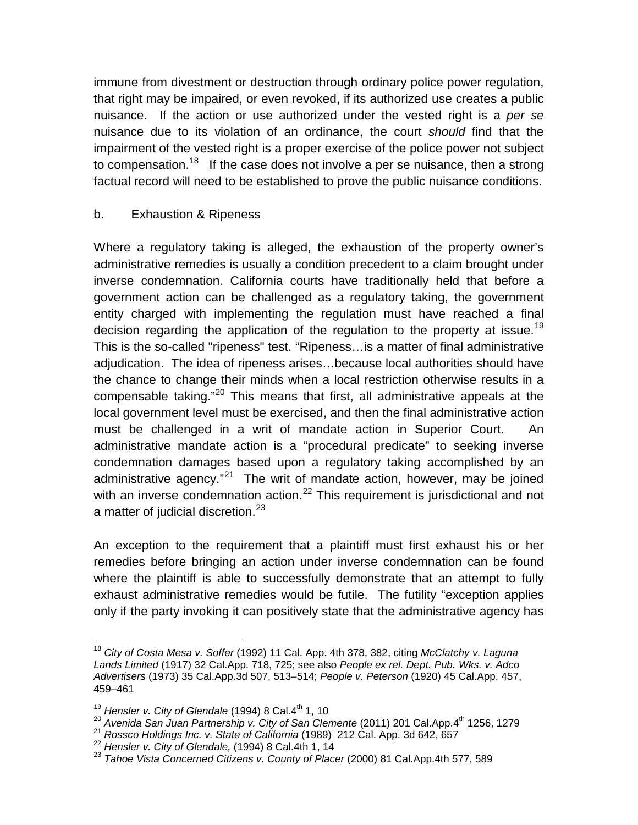immune from divestment or destruction through ordinary police power regulation, that right may be impaired, or even revoked, if its authorized use creates a public nuisance. If the action or use authorized under the vested right is a *per se* nuisance due to its violation of an ordinance, the court *should* find that the impairment of the vested right is a proper exercise of the police power not subject to compensation.<sup>[18](#page-19-0)</sup> If the case does not involve a per se nuisance, then a strong factual record will need to be established to prove the public nuisance conditions.

# b. Exhaustion & Ripeness

Where a regulatory taking is alleged, the exhaustion of the property owner's administrative remedies is usually a condition precedent to a claim brought under inverse condemnation. California courts have traditionally held that before a government action can be challenged as a regulatory taking, the government entity charged with implementing the regulation must have reached a final decision regarding the application of the regulation to the property at issue.<sup>[19](#page-19-1)</sup> This is the so-called "ripeness" test. "Ripeness…is a matter of final administrative adjudication. The idea of ripeness arises…because local authorities should have the chance to change their minds when a local restriction otherwise results in a compensable taking."[20](#page-19-2) This means that first, all administrative appeals at the local government level must be exercised, and then the final administrative action must be challenged in a writ of mandate action in Superior Court. An administrative mandate action is a "procedural predicate" to seeking inverse condemnation damages based upon a regulatory taking accomplished by an administrative agency."<sup>[21](#page-19-3)</sup> The writ of mandate action, however, may be joined with an inverse condemnation action.<sup>[22](#page-19-4)</sup> This requirement is jurisdictional and not a matter of judicial discretion.<sup>[23](#page-19-5)</sup>

An exception to the requirement that a plaintiff must first exhaust his or her remedies before bringing an action under inverse condemnation can be found where the plaintiff is able to successfully demonstrate that an attempt to fully exhaust administrative remedies would be futile. The futility "exception applies only if the party invoking it can positively state that the administrative agency has

<span id="page-19-0"></span> <sup>18</sup> *City of Costa Mesa v. Soffer* (1992) 11 Cal. App. 4th 378, 382, citing *McClatchy v. Laguna Lands Limited* (1917) 32 Cal.App. 718, 725; see also *People ex rel. Dept. Pub. Wks. v. Adco Advertisers* (1973) 35 Cal.App.3d 507, 513–514; *People v. Peterson* (1920) 45 Cal.App. 457, 459–461

<sup>&</sup>lt;sup>19</sup> Hensler v. City of Glendale (1994) 8 Cal.4<sup>th</sup> 1, 10

<span id="page-19-2"></span><span id="page-19-1"></span><sup>&</sup>lt;sup>20</sup> Avenida San Juan Partnership v. City of San Clemente (2011) 201 Cal.App.4<sup>th</sup> 1256, 1279<br><sup>21</sup> Rossco Holdings Inc. v. State of California (1989) 212 Cal. App. 3d 642, 657

<span id="page-19-5"></span><span id="page-19-4"></span><span id="page-19-3"></span><sup>22</sup> Hensler v. City of Glendale, (1994) 8 Cal.4th 1, 14<br>23 Tahoe Vista Concerned Citizens v. County of Placer (2000) 81 Cal.App.4th 577, 589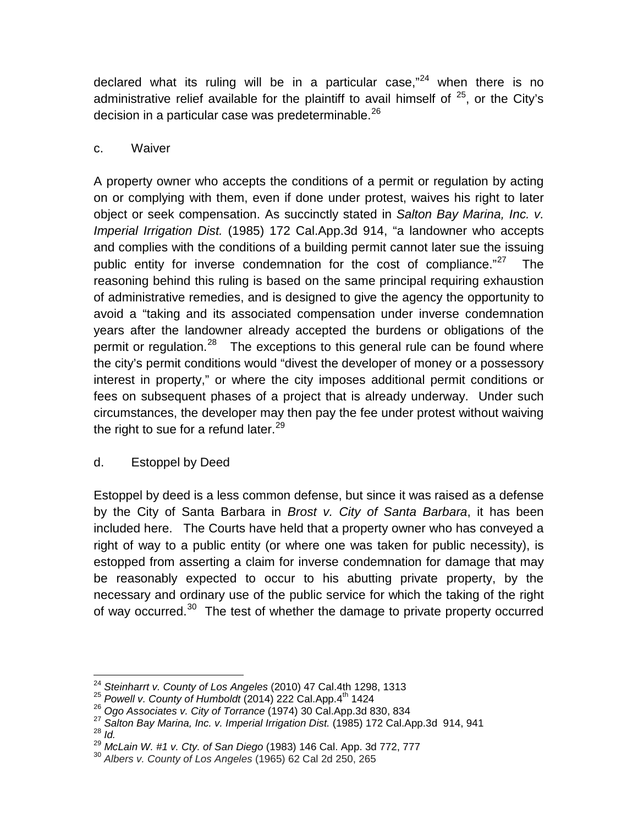declared what its ruling will be in a particular case,"<sup>[24](#page-20-0)</sup> when there is no administrative relief available for the plaintiff to avail himself of  $25$ , or the City's decision in a particular case was predeterminable.<sup>[26](#page-20-2)</sup>

## c. Waiver

A property owner who accepts the conditions of a permit or regulation by acting on or complying with them, even if done under protest, waives his right to later object or seek compensation. As succinctly stated in *Salton Bay Marina, Inc. v. Imperial Irrigation Dist.* (1985) 172 Cal.App.3d 914, "a landowner who accepts and complies with the conditions of a building permit cannot later sue the issuing public entity for inverse condemnation for the cost of compliance."<sup>[27](#page-20-3)</sup> The reasoning behind this ruling is based on the same principal requiring exhaustion of administrative remedies, and is designed to give the agency the opportunity to avoid a "taking and its associated compensation under inverse condemnation years after the landowner already accepted the burdens or obligations of the permit or regulation.<sup>[28](#page-20-4)</sup> The exceptions to this general rule can be found where the city's permit conditions would "divest the developer of money or a possessory interest in property," or where the city imposes additional permit conditions or fees on subsequent phases of a project that is already underway. Under such circumstances, the developer may then pay the fee under protest without waiving the right to sue for a refund later.<sup>[29](#page-20-5)</sup>

# d. Estoppel by Deed

Estoppel by deed is a less common defense, but since it was raised as a defense by the City of Santa Barbara in *Brost v. City of Santa Barbara*, it has been included here. The Courts have held that a property owner who has conveyed a right of way to a public entity (or where one was taken for public necessity), is estopped from asserting a claim for inverse condemnation for damage that may be reasonably expected to occur to his abutting private property, by the necessary and ordinary use of the public service for which the taking of the right of way occurred.<sup>30</sup> The test of whether the damage to private property occurred

<span id="page-20-0"></span><sup>&</sup>lt;sup>24</sup> Steinharrt v. County of Los Angeles (2010) 47 Cal.4th 1298, 1313<br><sup>25</sup> *Powell v. County of Humboldt* (2014) 222 Cal.App.4<sup>th</sup> 1424<br><sup>26</sup> Ogo Associates v. City of Torrance (1974) 30 Cal.App.3d 830, 834

<span id="page-20-1"></span>

<span id="page-20-4"></span><span id="page-20-3"></span><span id="page-20-2"></span><sup>&</sup>lt;sup>27</sup> Salton Bay Marina, Inc. v. Imperial Irrigation Dist. (1985) 172 Cal.App.3d 914, 941<br><sup>28</sup> *Id.*<br><sup>29</sup> McLain W. #1 v. Cty. of San Diego (1983) 146 Cal. App. 3d 772, 777

<span id="page-20-6"></span><span id="page-20-5"></span><sup>&</sup>lt;sup>30</sup> *Albers v. County of Los Angeles* (1965) 62 Cal 2d 250, 265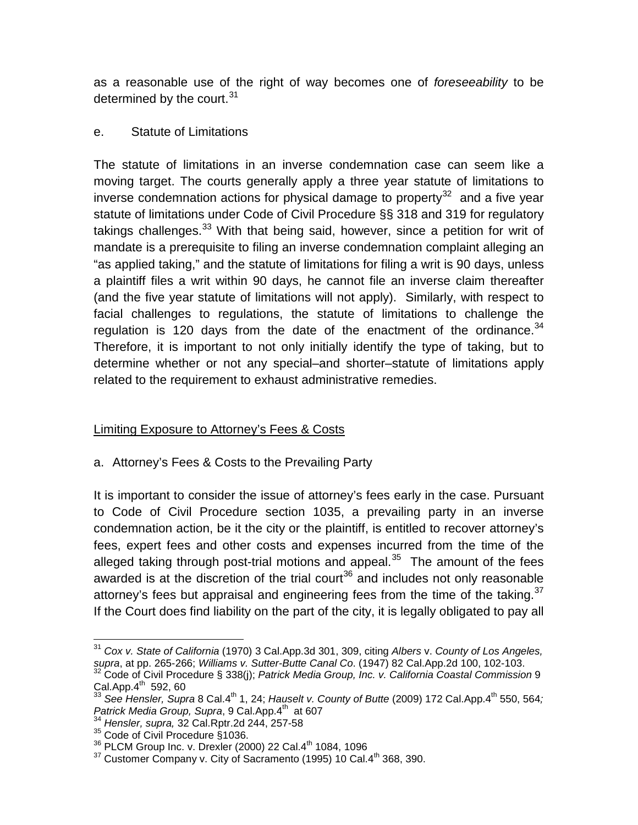as a reasonable use of the right of way becomes one of *foreseeability* to be determined by the court.<sup>[31](#page-21-0)</sup>

# e. Statute of Limitations

The statute of limitations in an inverse condemnation case can seem like a moving target. The courts generally apply a three year statute of limitations to inverse condemnation actions for physical damage to property<sup>32</sup> and a five year statute of limitations under Code of Civil Procedure §§ 318 and 319 for regulatory takings challenges.<sup>[33](#page-21-2)</sup> With that being said, however, since a petition for writ of mandate is a prerequisite to filing an inverse condemnation complaint alleging an "as applied taking," and the statute of limitations for filing a writ is 90 days, unless a plaintiff files a writ within 90 days, he cannot file an inverse claim thereafter (and the five year statute of limitations will not apply). Similarly, with respect to facial challenges to regulations, the statute of limitations to challenge the regulation is 120 days from the date of the enactment of the ordinance. $34$ Therefore, it is important to not only initially identify the type of taking, but to determine whether or not any special–and shorter–statute of limitations apply related to the requirement to exhaust administrative remedies.

# Limiting Exposure to Attorney's Fees & Costs

a. Attorney's Fees & Costs to the Prevailing Party

It is important to consider the issue of attorney's fees early in the case. Pursuant to Code of Civil Procedure section 1035, a prevailing party in an inverse condemnation action, be it the city or the plaintiff, is entitled to recover attorney's fees, expert fees and other costs and expenses incurred from the time of the alleged taking through post-trial motions and appeal. $35$  The amount of the fees awarded is at the discretion of the trial court<sup>[36](#page-21-5)</sup> and includes not only reasonable attorney's fees but appraisal and engineering fees from the time of the taking.<sup>[37](#page-21-6)</sup> If the Court does find liability on the part of the city, it is legally obligated to pay all

<span id="page-21-0"></span> <sup>31</sup> *Cox v. State of California* (1970) 3 Cal.App.3d 301, 309, citing *Albers* v. *County of Los Angeles,* 

<span id="page-21-1"></span>*supra*, at pp. 265-266; *Williams v. Sutter-Butte Canal Co*. (1947) 82 Cal.App.2d 100, 102-103. 32 Code of Civil Procedure § 338(j); *Patrick Media Group, Inc. v. California Coastal Commission* <sup>9</sup>  $Cal.$ App. $4^{th}$  592, 60

<span id="page-21-2"></span><sup>&</sup>lt;sup>33</sup> See Hensler, Supra 8 Cal.4<sup>th</sup> 1, 24; *Hauselt v. County of Butte* (2009) 172 Cal.App.4<sup>th</sup> 550, 564*;* Patrick Media Group, Supra, 9 Cal.App.4<sup>th</sup> at 607

<sup>34</sup> *Hensler, supra,* 32 Cal.Rptr.2d 244, 257-58

<span id="page-21-4"></span><span id="page-21-3"></span> $\frac{35}{35}$  Code of Civil Procedure §1036.<br> $\frac{35}{36}$  PLCM Group Inc. v. Drexler (2000) 22 Cal.4<sup>th</sup> 1084, 1096

<span id="page-21-6"></span><span id="page-21-5"></span> $37$  Customer Company v. City of Sacramento (1995) 10 Cal. $4<sup>th</sup>$  368, 390.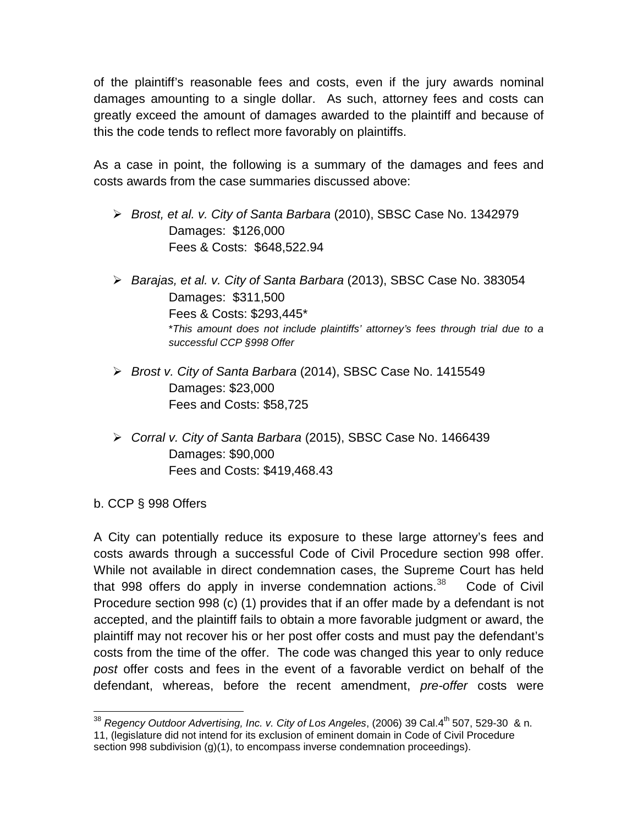of the plaintiff's reasonable fees and costs, even if the jury awards nominal damages amounting to a single dollar. As such, attorney fees and costs can greatly exceed the amount of damages awarded to the plaintiff and because of this the code tends to reflect more favorably on plaintiffs.

As a case in point, the following is a summary of the damages and fees and costs awards from the case summaries discussed above:

- *Brost, et al. v. City of Santa Barbara* (2010), SBSC Case No. 1342979 Damages: \$126,000 Fees & Costs: \$648,522.94
- *Barajas, et al. v. City of Santa Barbara* (2013), SBSC Case No. 383054 Damages: \$311,500 Fees & Costs: \$293,445\* \**This amount does not include plaintiffs' attorney's fees through trial due to a successful CCP §998 Offer*
- *Brost v. City of Santa Barbara* (2014), SBSC Case No. 1415549 Damages: \$23,000 Fees and Costs: \$58,725
- *Corral v. City of Santa Barbara* (2015), SBSC Case No. 1466439 Damages: \$90,000 Fees and Costs: \$419,468.43

b. CCP § 998 Offers

A City can potentially reduce its exposure to these large attorney's fees and costs awards through a successful Code of Civil Procedure section 998 offer. While not available in direct condemnation cases, the Supreme Court has held that 998 offers do apply in inverse condemnation actions.<sup>[38](#page-22-0)</sup> Code of Civil Procedure section 998 (c) (1) provides that if an offer made by a defendant is not accepted, and the plaintiff fails to obtain a more favorable judgment or award, the plaintiff may not recover his or her post offer costs and must pay the defendant's costs from the time of the offer. The code was changed this year to only reduce *post* offer costs and fees in the event of a favorable verdict on behalf of the defendant, whereas, before the recent amendment, *pre-offer* costs were

<span id="page-22-0"></span><sup>&</sup>lt;sup>38</sup> Regency Outdoor Advertising, Inc. v. City of Los Angeles, (2006) 39 Cal.4<sup>th</sup> 507, 529-30 & n. 11, (legislature did not intend for its exclusion of eminent domain in Code of Civil Procedure section 998 subdivision (g)(1), to encompass inverse condemnation proceedings).